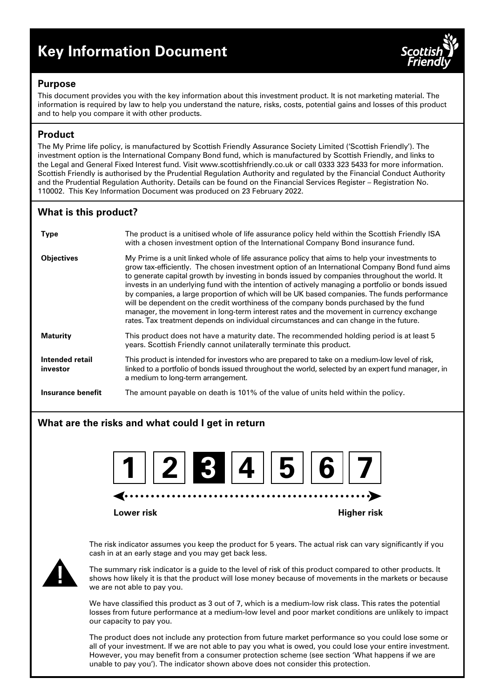# **Key Information Document**



## **Purpose**

This document provides you with the key information about this investment product. It is not marketing material. The information is required by law to help you understand the nature, risks, costs, potential gains and losses of this product and to help you compare it with other products.

# **Product**

The My Prime life policy, is manufactured by Scottish Friendly Assurance Society Limited ('Scottish Friendly'). The investment option is the International Company Bond fund, which is manufactured by Scottish Friendly, and links to the Legal and General Fixed Interest fund. Visit www.scottishfriendly.co.uk or call 0333 323 5433 for more information. Scottish Friendly is authorised by the Prudential Regulation Authority and regulated by the Financial Conduct Authority and the Prudential Regulation Authority. Details can be found on the Financial Services Register – Registration No. 110002. This Key Information Document was produced on 23 February 2022.

# **What is this product?**

| <b>Type</b>                 | The product is a unitised whole of life assurance policy held within the Scottish Friendly ISA<br>with a chosen investment option of the International Company Bond insurance fund.                                                                                                                                                                                                                                                                                                                                                                                                                                                                                                                                                                                                |
|-----------------------------|------------------------------------------------------------------------------------------------------------------------------------------------------------------------------------------------------------------------------------------------------------------------------------------------------------------------------------------------------------------------------------------------------------------------------------------------------------------------------------------------------------------------------------------------------------------------------------------------------------------------------------------------------------------------------------------------------------------------------------------------------------------------------------|
| <b>Objectives</b>           | My Prime is a unit linked whole of life assurance policy that aims to help your investments to<br>grow tax-efficiently. The chosen investment option of an International Company Bond fund aims<br>to generate capital growth by investing in bonds issued by companies throughout the world. It<br>invests in an underlying fund with the intention of actively managing a portfolio or bonds issued<br>by companies, a large proportion of which will be UK based companies. The funds performance<br>will be dependent on the credit worthiness of the company bonds purchased by the fund<br>manager, the movement in long-term interest rates and the movement in currency exchange<br>rates. Tax treatment depends on individual circumstances and can change in the future. |
| <b>Maturity</b>             | This product does not have a maturity date. The recommended holding period is at least 5<br>years. Scottish Friendly cannot unilaterally terminate this product.                                                                                                                                                                                                                                                                                                                                                                                                                                                                                                                                                                                                                   |
| Intended retail<br>investor | This product is intended for investors who are prepared to take on a medium-low level of risk,<br>linked to a portfolio of bonds issued throughout the world, selected by an expert fund manager, in<br>a medium to long-term arrangement.                                                                                                                                                                                                                                                                                                                                                                                                                                                                                                                                         |
| Insurance benefit           | The amount payable on death is 101% of the value of units held within the policy.                                                                                                                                                                                                                                                                                                                                                                                                                                                                                                                                                                                                                                                                                                  |

# **What are the risks and what could I get in return**



**Lower risk Higher risk**

The risk indicator assumes you keep the product for 5 years. The actual risk can vary significantly if you cash in at an early stage and you may get back less.



The summary risk indicator is a guide to the level of risk of this product compared to other products. It shows how likely it is that the product will lose money because of movements in the markets or because we are not able to pay you.

We have classified this product as 3 out of 7, which is a medium-low risk class. This rates the potential losses from future performance at a medium-low level and poor market conditions are unlikely to impact our capacity to pay you.

The product does not include any protection from future market performance so you could lose some or all of your investment. If we are not able to pay you what is owed, you could lose your entire investment. However, you may benefit from a consumer protection scheme (see section 'What happens if we are unable to pay you'). The indicator shown above does not consider this protection.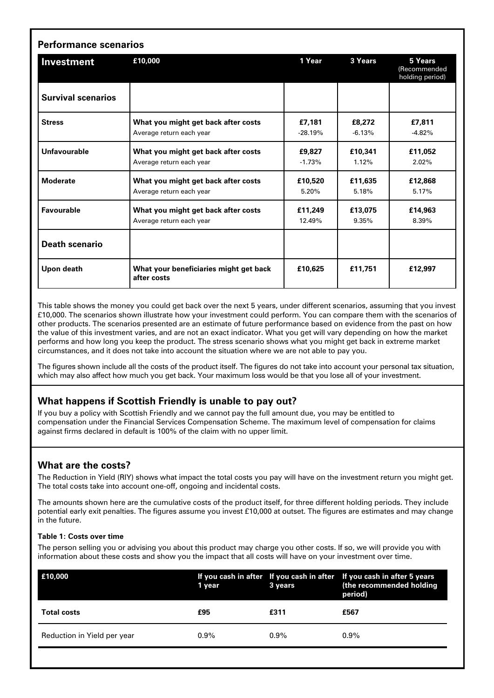| Investment                | £10,000                                               | 1 Year    | 3 Years  | 5 Years<br>(Recommended<br>holding period) |
|---------------------------|-------------------------------------------------------|-----------|----------|--------------------------------------------|
| <b>Survival scenarios</b> |                                                       |           |          |                                            |
| <b>Stress</b>             | What you might get back after costs                   | £7,181    | £8,272   | £7,811                                     |
|                           | Average return each year                              | $-28.19%$ | $-6.13%$ | $-4.82%$                                   |
| Unfavourable              | What you might get back after costs                   | £9,827    | £10,341  | £11,052                                    |
|                           | Average return each year                              | $-1.73%$  | 1.12%    | 2.02%                                      |
| <b>Moderate</b>           | What you might get back after costs                   | £10,520   | £11,635  | £12,868                                    |
|                           | Average return each year                              | $5.20\%$  | 5.18%    | 5.17%                                      |
| <b>Favourable</b>         | What you might get back after costs                   | £11.249   | £13.075  | £14.963                                    |
|                           | Average return each year                              | 12.49%    | 9.35%    | 8.39%                                      |
| <b>Death scenario</b>     |                                                       |           |          |                                            |
| Upon death                | What your beneficiaries might get back<br>after costs | £10.625   | £11,751  | £12,997                                    |

This table shows the money you could get back over the next 5 years, under different scenarios, assuming that you invest £10,000. The scenarios shown illustrate how your investment could perform. You can compare them with the scenarios of other products. The scenarios presented are an estimate of future performance based on evidence from the past on how the value of this investment varies, and are not an exact indicator. What you get will vary depending on how the market performs and how long you keep the product. The stress scenario shows what you might get back in extreme market circumstances, and it does not take into account the situation where we are not able to pay you.

The figures shown include all the costs of the product itself. The figures do not take into account your personal tax situation, which may also affect how much you get back. Your maximum loss would be that you lose all of your investment.

# **What happens if Scottish Friendly is unable to pay out?**

If you buy a policy with Scottish Friendly and we cannot pay the full amount due, you may be entitled to compensation under the Financial Services Compensation Scheme. The maximum level of compensation for claims against firms declared in default is 100% of the claim with no upper limit.

# **What are the costs?**

The Reduction in Yield (RIY) shows what impact the total costs you pay will have on the investment return you might get. The total costs take into account one-off, ongoing and incidental costs.

The amounts shown here are the cumulative costs of the product itself, for three different holding periods. They include potential early exit penalties. The figures assume you invest £10,000 at outset. The figures are estimates and may change in the future.

#### **Table 1: Costs over time**

The person selling you or advising you about this product may charge you other costs. If so, we will provide you with information about these costs and show you the impact that all costs will have on your investment over time.

| E10,000                     | 1 year  | 3 years | If you cash in after If you cash in after If you cash in after 5 years<br>(the recommended holding<br>period) |
|-----------------------------|---------|---------|---------------------------------------------------------------------------------------------------------------|
| <b>Total costs</b>          | £95     | £311    | £567                                                                                                          |
| Reduction in Yield per year | $0.9\%$ | $0.9\%$ | $0.9\%$                                                                                                       |